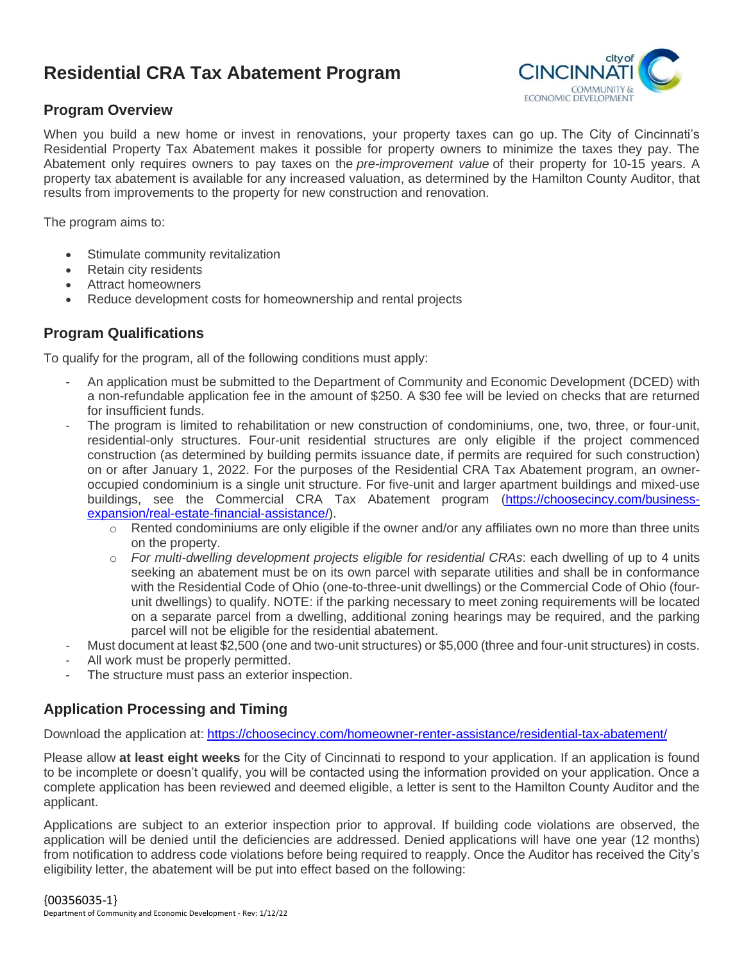# **Residential CRA Tax Abatement Program**



#### **Program Overview**

When you build a new home or invest in renovations, your property taxes can go up. The City of Cincinnati's Residential Property Tax Abatement makes it possible for property owners to minimize the taxes they pay. The Abatement only requires owners to pay taxes on the *pre-improvement value* of their property for 10-15 years. A property tax abatement is available for any increased valuation, as determined by the Hamilton County Auditor, that results from improvements to the property for new construction and renovation.

The program aims to:

- Stimulate community revitalization
- Retain city residents
- Attract homeowners
- Reduce development costs for homeownership and rental projects

#### **Program Qualifications**

To qualify for the program, all of the following conditions must apply:

- An application must be submitted to the Department of Community and Economic Development (DCED) with a non-refundable application fee in the amount of \$250. A \$30 fee will be levied on checks that are returned for insufficient funds.
- The program is limited to rehabilitation or new construction of condominiums, one, two, three, or four-unit, residential-only structures. Four-unit residential structures are only eligible if the project commenced construction (as determined by building permits issuance date, if permits are required for such construction) on or after January 1, 2022. For the purposes of the Residential CRA Tax Abatement program, an owneroccupied condominium is a single unit structure. For five-unit and larger apartment buildings and mixed-use buildings, see the Commercial CRA Tax Abatement program [\(https://choosecincy.com/business](https://choosecincy.com/business-expansion/real-estate-financial-assistance/)[expansion/real-estate-financial-assistance/\)](https://choosecincy.com/business-expansion/real-estate-financial-assistance/).
	- $\circ$  Rented condominiums are only eligible if the owner and/or any affiliates own no more than three units on the property.
	- o *For multi-dwelling development projects eligible for residential CRAs*: each dwelling of up to 4 units seeking an abatement must be on its own parcel with separate utilities and shall be in conformance with the Residential Code of Ohio (one-to-three-unit dwellings) or the Commercial Code of Ohio (fourunit dwellings) to qualify. NOTE: if the parking necessary to meet zoning requirements will be located on a separate parcel from a dwelling, additional zoning hearings may be required, and the parking parcel will not be eligible for the residential abatement.
- Must document at least \$2,500 (one and two-unit structures) or \$5,000 (three and four-unit structures) in costs.
- All work must be properly permitted.
- The structure must pass an exterior inspection.

## **Application Processing and Timing**

Download the application at: <https://choosecincy.com/homeowner-renter-assistance/residential-tax-abatement/>

Please allow **at least eight weeks** for the City of Cincinnati to respond to your application. If an application is found to be incomplete or doesn't qualify, you will be contacted using the information provided on your application. Once a complete application has been reviewed and deemed eligible, a letter is sent to the Hamilton County Auditor and the applicant.

Applications are subject to an exterior inspection prior to approval. If building code violations are observed, the application will be denied until the deficiencies are addressed. Denied applications will have one year (12 months) from notification to address code violations before being required to reapply. Once the Auditor has received the City's eligibility letter, the abatement will be put into effect based on the following: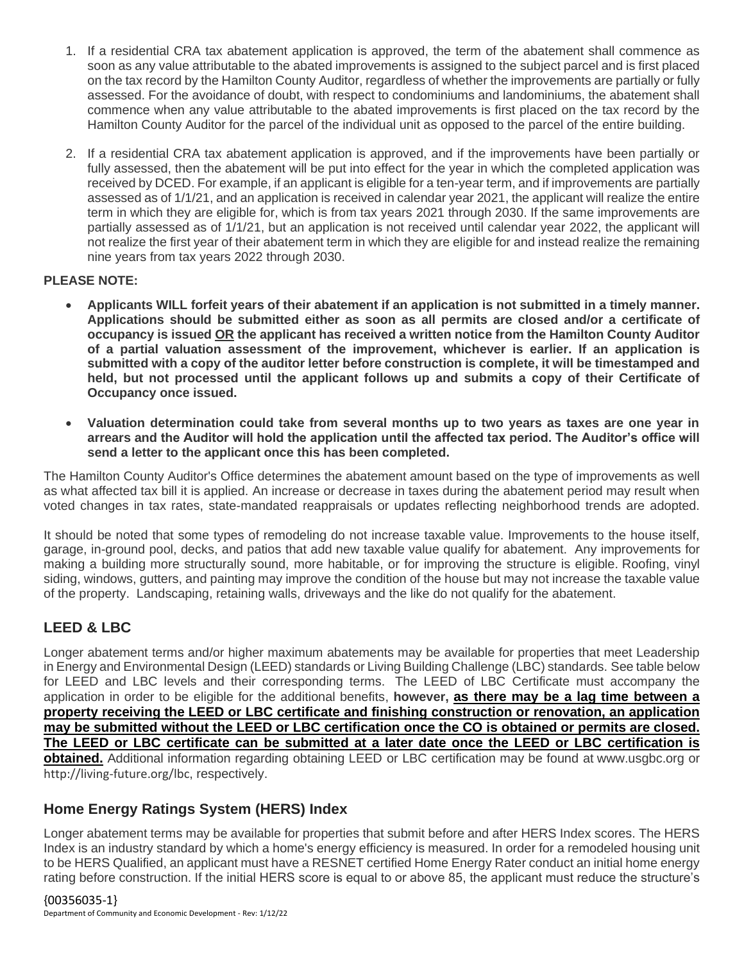- 1. If a residential CRA tax abatement application is approved, the term of the abatement shall commence as soon as any value attributable to the abated improvements is assigned to the subject parcel and is first placed on the tax record by the Hamilton County Auditor, regardless of whether the improvements are partially or fully assessed. For the avoidance of doubt, with respect to condominiums and landominiums, the abatement shall commence when any value attributable to the abated improvements is first placed on the tax record by the Hamilton County Auditor for the parcel of the individual unit as opposed to the parcel of the entire building.
- 2. If a residential CRA tax abatement application is approved, and if the improvements have been partially or fully assessed, then the abatement will be put into effect for the year in which the completed application was received by DCED. For example, if an applicant is eligible for a ten-year term, and if improvements are partially assessed as of 1/1/21, and an application is received in calendar year 2021, the applicant will realize the entire term in which they are eligible for, which is from tax years 2021 through 2030. If the same improvements are partially assessed as of 1/1/21, but an application is not received until calendar year 2022, the applicant will not realize the first year of their abatement term in which they are eligible for and instead realize the remaining nine years from tax years 2022 through 2030.

#### **PLEASE NOTE:**

- **Applicants WILL forfeit years of their abatement if an application is not submitted in a timely manner. Applications should be submitted either as soon as all permits are closed and/or a certificate of occupancy is issued OR the applicant has received a written notice from the Hamilton County Auditor of a partial valuation assessment of the improvement, whichever is earlier. If an application is submitted with a copy of the auditor letter before construction is complete, it will be timestamped and held, but not processed until the applicant follows up and submits a copy of their Certificate of Occupancy once issued.**
- **Valuation determination could take from several months up to two years as taxes are one year in arrears and the Auditor will hold the application until the affected tax period. The Auditor's office will send a letter to the applicant once this has been completed.**

The Hamilton County Auditor's Office determines the abatement amount based on the type of improvements as well as what affected tax bill it is applied. An increase or decrease in taxes during the abatement period may result when voted changes in tax rates, state-mandated reappraisals or updates reflecting neighborhood trends are adopted.

It should be noted that some types of remodeling do not increase taxable value. Improvements to the house itself, garage, in-ground pool, decks, and patios that add new taxable value qualify for abatement. Any improvements for making a building more structurally sound, more habitable, or for improving the structure is eligible. Roofing, vinyl siding, windows, gutters, and painting may improve the condition of the house but may not increase the taxable value of the property. Landscaping, retaining walls, driveways and the like do not qualify for the abatement.

## **LEED & LBC**

Longer abatement terms and/or higher maximum abatements may be available for properties that meet Leadership in Energy and Environmental Design (LEED) standards or Living Building Challenge (LBC) standards. See table below for LEED and LBC levels and their corresponding terms. The LEED of LBC Certificate must accompany the application in order to be eligible for the additional benefits, **however, as there may be a lag time between a property receiving the LEED or LBC certificate and finishing construction or renovation, an application may be submitted without the LEED or LBC certification once the CO is obtained or permits are closed. The LEED or LBC certificate can be submitted at a later date once the LEED or LBC certification is obtained.** Additional information regarding obtaining LEED or LBC certification may be found at [www.usgbc.org](http://www.usgbc.org/) or <http://living-future.org/lbc>, respectively.

## **Home Energy Ratings System (HERS) Index**

Longer abatement terms may be available for properties that submit before and after HERS Index scores. The HERS Index is an industry standard by which a home's energy efficiency is measured. In order for a remodeled housing unit to be HERS Qualified, an applicant must have a RESNET certified Home Energy Rater conduct an initial home energy rating before construction. If the initial HERS score is equal to or above 85, the applicant must reduce the structure's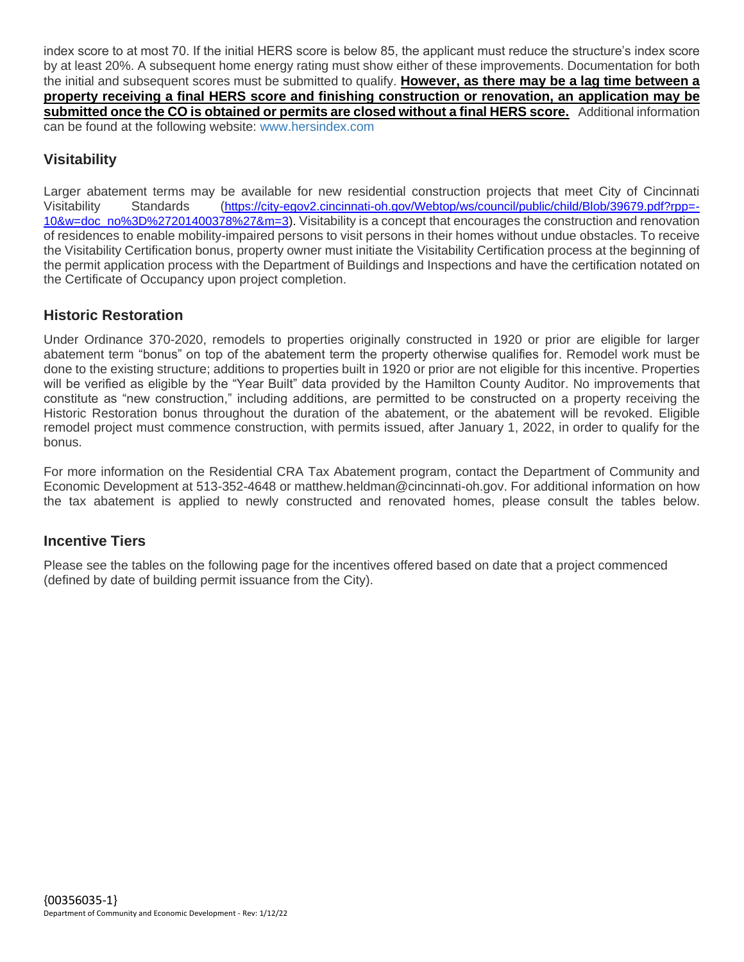index score to at most 70. If the initial HERS score is below 85, the applicant must reduce the structure's index score by at least 20%. A subsequent home energy rating must show either of these improvements. Documentation for both the initial and subsequent scores must be submitted to qualify. **However, as there may be a lag time between a property receiving a final HERS score and finishing construction or renovation, an application may be submitted once the CO is obtained or permits are closed without a final HERS score.** Additional information can be found at the following website: [www.hersindex.com](http://www.hersindex.com/)

## **Visitability**

Larger abatement terms may be available for new residential construction projects that meet City of Cincinnati Visitability Standards ([https://city-egov2.cincinnati-oh.gov/Webtop/ws/council/public/child/Blob/39679.pdf?rpp=-](https://city-egov2.cincinnati-oh.gov/Webtop/ws/council/public/child/Blob/39679.pdf?rpp=-10&w=doc_no%3D%27201400378%27&m=3) [10&w=doc\\_no%3D%27201400378%27&m=3\)](https://city-egov2.cincinnati-oh.gov/Webtop/ws/council/public/child/Blob/39679.pdf?rpp=-10&w=doc_no%3D%27201400378%27&m=3). Visitability is a concept that encourages the construction and renovation of residences to enable mobility-impaired persons to visit persons in their homes without undue obstacles. To receive the Visitability Certification bonus, property owner must initiate the Visitability Certification process at the beginning of the permit application process with the Department of Buildings and Inspections and have the certification notated on the Certificate of Occupancy upon project completion.

### **Historic Restoration**

Under Ordinance 370-2020, remodels to properties originally constructed in 1920 or prior are eligible for larger abatement term "bonus" on top of the abatement term the property otherwise qualifies for. Remodel work must be done to the existing structure; additions to properties built in 1920 or prior are not eligible for this incentive. Properties will be verified as eligible by the "Year Built" data provided by the Hamilton County Auditor. No improvements that constitute as "new construction," including additions, are permitted to be constructed on a property receiving the Historic Restoration bonus throughout the duration of the abatement, or the abatement will be revoked. Eligible remodel project must commence construction, with permits issued, after January 1, 2022, in order to qualify for the bonus.

For more information on the Residential CRA Tax Abatement program, contact the Department of Community and Economic Development at 513-352-4648 or matthew.heldman@cincinnati-oh.gov. For additional information on how the tax abatement is applied to newly constructed and renovated homes, please consult the tables below.

#### **Incentive Tiers**

Please see the tables on the following page for the incentives offered based on date that a project commenced (defined by date of building permit issuance from the City).